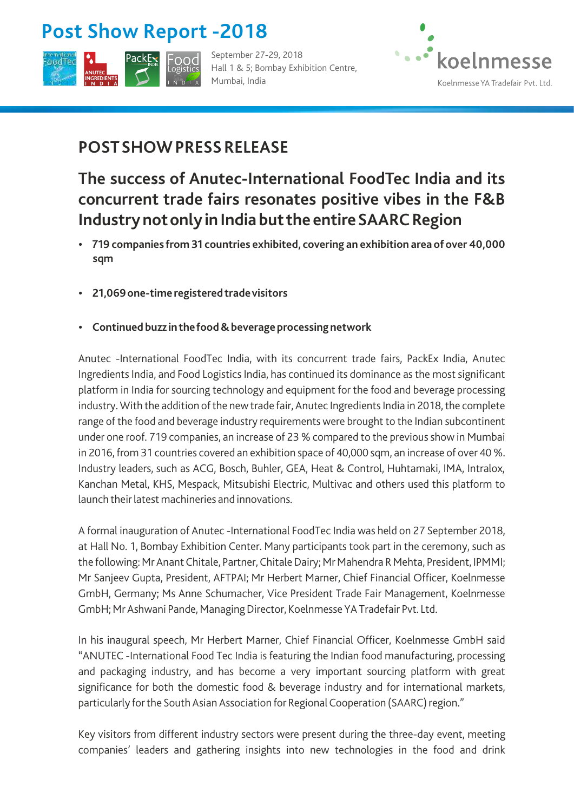# **Post Show Report - 2018**



September 27-29, 2018 Hall 1 & 5; Bombay Exhibition Centre, Mumbai, India



#### **POST SHOW PRESS RELEASE**

### **The success of Anutec-International FoodTec India and its concurrent trade fairs resonates positive vibes in the F&B Industry not only in India but the entire SAARC Region**

- $\cdot$  719 companies from 31 countries exhibited, covering an exhibition area of over 40,000 **sqm**
- $\cdot$  **21,069 one-time registered trade visitors**
- $\cdot$  Continued buzz in the food & beverage processing network

Anutec -International FoodTec India, with its concurrent trade fairs, PackEx India, Anutec Ingredients India, and Food Logistics India, has continued its dominance as the most significant platform in India for sourcing technology and equipment for the food and beverage processing industry. With the addition of the new trade fair, Anutec Ingredients India in 2018, the complete range of the food and beverage industry requirements were brought to the Indian subcontinent under one roof. 719 companies, an increase of 23 % compared to the previous show in Mumbai in 2016, from 31 countries covered an exhibition space of 40,000 sqm, an increase of over 40 %. Industry leaders, such as ACG, Bosch, Buhler, GEA, Heat & Control, Huhtamaki, IMA, Intralox, Kanchan Metal, KHS, Mespack, Mitsubishi Electric, Multivac and others used this platform to launch their latest machineries and innovations.

A formal inauguration of Anutec -International FoodTec India was held on 27 September 2018, at Hall No. 1, Bombay Exhibition Center. Many participants took part in the ceremony, such as the following: Mr Anant Chitale, Partner, Chitale Dairy; Mr Mahendra R Mehta, President, IPMMI; Mr Sanjeev Gupta, President, AFTPAI; Mr Herbert Marner, Chief Financial Officer, Koelnmesse GmbH, Germany; Ms Anne Schumacher, Vice President Trade Fair Management, Koelnmesse GmbH; Mr Ashwani Pande, Managing Director, Koelnmesse YA Tradefair Pvt. Ltd.

In his inaugural speech, Mr Herbert Marner, Chief Financial Officer, Koelnmesse GmbH said "ANUTEC -International Food Tec India is featuring the Indian food manufacturing, processing and packaging industry, and has become a very important sourcing platform with great significance for both the domestic food & beverage industry and for international markets, particularly for the South Asian Association for Regional Cooperation (SAARC) region."

Key visitors from different industry sectors were present during the three-day event, meeting companies' leaders and gathering insights into new technologies in the food and drink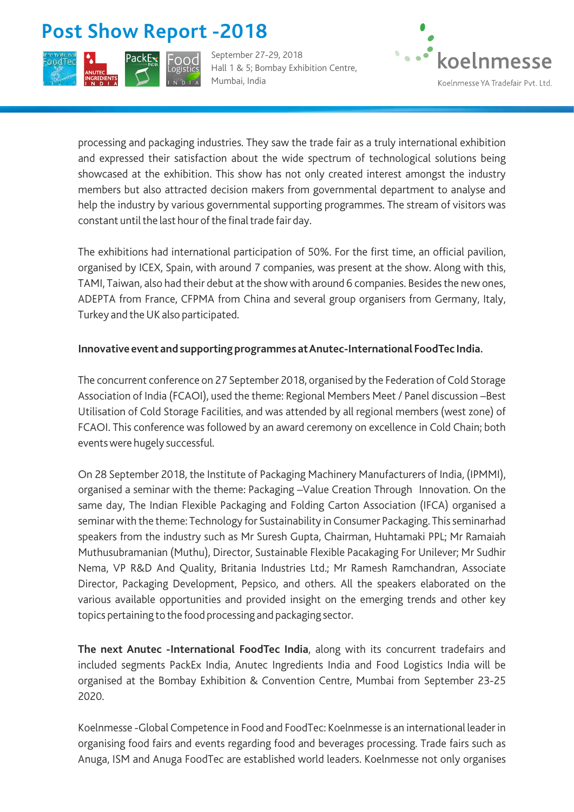# **Post Show Report - 2018**



September 27-29, 2018 Hall 1 & 5; Bombay Exhibition Centre, Mumbai, India



processing and packaging industries. They saw the trade fair as a truly international exhibition and expressed their satisfaction about the wide spectrum of technological solutions being showcased at the exhibition. This show has not only created interest amongst the industry members but also attracted decision makers from governmental department to analyse and help the industry by various governmental supporting programmes. The stream of visitors was constant until the last hour of the final trade fair day.

The exhibitions had international participation of 50%. For the first time, an official pavilion, organised by ICEX, Spain, with around 7 companies, was present at the show. Along with this, TAMI, Taiwan, also had their debut at the show with around 6 companies. Besides the new ones, ADEPTA from France, CFPMA from China and several group organisers from Germany, Italy, Turkey and the UK also participated.

#### **Innovative event and supporting programmes at Anutec-International FoodTec India.**

The concurrent conference on 27 September 2018, organised by the Federation of Cold Storage Association of India (FCAOI), used the theme: Regional Members Meet / Panel discussion –Best Utilisation of Cold Storage Facilities, and was attended by all regional members (west zone) of FCAOI. This conference was followed by an award ceremony on excellence in Cold Chain; both events were hugely successful.

On 28 September 2018, the Institute of Packaging Machinery Manufacturers of India, (IPMMI), organised a seminar with the theme: Packaging –Value Creation Through Innovation. On the same day, The Indian Flexible Packaging and Folding Carton Association (IFCA) organised a seminar with the theme: Technology for Sustainability in Consumer Packaging. This seminarhad speakers from the industry such as Mr Suresh Gupta, Chairman, Huhtamaki PPL; Mr Ramaiah Muthusubramanian (Muthu), Director, Sustainable Flexible Pacakaging For Unilever; Mr Sudhir Nema, VP R&D And Quality, Britania Industries Ltd.; Mr Ramesh Ramchandran, Associate Director, Packaging Development, Pepsico, and others. All the speakers elaborated on the various available opportunities and provided insight on the emerging trends and other key topics pertaining to the food processing and packaging sector.

**The next Anutec -International FoodTec India**, along with its concurrent tradefairs and included segments PackEx India, Anutec Ingredients India and Food Logistics India will be organised at the Bombay Exhibition & Convention Centre, Mumbai from September 23-25 2020.

Koelnmesse -Global Competence in Food and FoodTec: Koelnmesse is an international leader in organising food fairs and events regarding food and beverages processing. Trade fairs such as Anuga, ISM and Anuga FoodTec are established world leaders. Koelnmesse not only organises